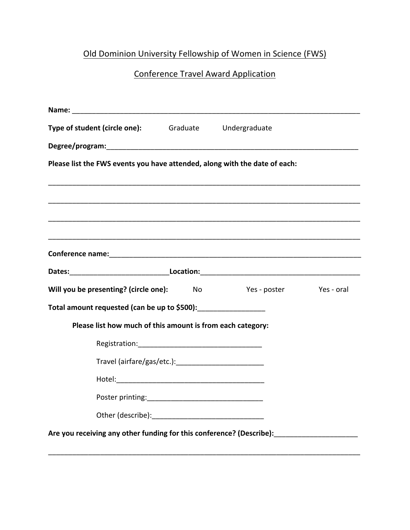## Old Dominion University Fellowship of Women in Science (FWS)

## **Conference Travel Award Application**

| Type of student (circle one):                                              | Graduate Undergraduate  |  |
|----------------------------------------------------------------------------|-------------------------|--|
|                                                                            |                         |  |
| Please list the FWS events you have attended, along with the date of each: |                         |  |
|                                                                            |                         |  |
|                                                                            |                         |  |
|                                                                            |                         |  |
|                                                                            |                         |  |
| Will you be presenting? (circle one): No                                   | Yes - poster Yes - oral |  |
| Total amount requested (can be up to \$500):                               |                         |  |
| Please list how much of this amount is from each category:                 |                         |  |
|                                                                            |                         |  |
|                                                                            |                         |  |
|                                                                            |                         |  |
|                                                                            |                         |  |
|                                                                            |                         |  |
|                                                                            |                         |  |

\_\_\_\_\_\_\_\_\_\_\_\_\_\_\_\_\_\_\_\_\_\_\_\_\_\_\_\_\_\_\_\_\_\_\_\_\_\_\_\_\_\_\_\_\_\_\_\_\_\_\_\_\_\_\_\_\_\_\_\_\_\_\_\_\_\_\_\_\_\_\_\_\_\_\_\_\_\_